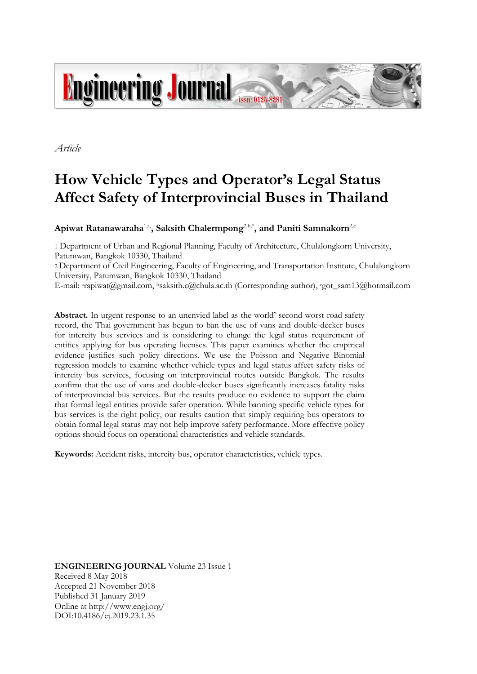

*Article*

# **How Vehicle Types and Operator's Legal Status Affect Safety of Interprovincial Buses in Thailand**

Apiwat Ratanawaraha<sup>1,a,</sup>, Saksith Chalermpong<sup>2,b,\*</sup>, and Paniti Samnakorn<sup>2,c</sup>

1 Department of Urban and Regional Planning, Faculty of Architecture, Chulalongkorn University, Patumwan, Bangkok 10330, Thailand

2 Department of Civil Engineering, Faculty of Engineering, and Transportation Institute, Chulalongkorn University, Patumwan, Bangkok 10330, Thailand

E-mail: <sup>a</sup>rapiwat@gmail.com, <sup>b</sup>saksith.c@chula.ac.th (Corresponding author), <sup>c</sup>got\_sam13@hotmail.com

**Abstract.** In urgent response to an unenvied label as the world' second worst road safety record, the Thai government has begun to ban the use of vans and double-decker buses for intercity bus services and is considering to change the legal status requirement of entities applying for bus operating licenses. This paper examines whether the empirical evidence justifies such policy directions. We use the Poisson and Negative Binomial regression models to examine whether vehicle types and legal status affect safety risks of intercity bus services, focusing on interprovincial routes outside Bangkok. The results confirm that the use of vans and double-decker buses significantly increases fatality risks of interprovincial bus services. But the results produce no evidence to support the claim that formal legal entities provide safer operation. While banning specific vehicle types for bus services is the right policy, our results caution that simply requiring bus operators to obtain formal legal status may not help improve safety performance. More effective policy options should focus on operational characteristics and vehicle standards.

**Keywords:** Accident risks, intercity bus, operator characteristics, vehicle types.

**ENGINEERING JOURNAL** Volume 23 Issue 1 Received 8 May 2018 Accepted 21 November 2018 Published 31 January 2019 Online at http://www.engj.org/ DOI:10.4186/ej.2019.23.1.35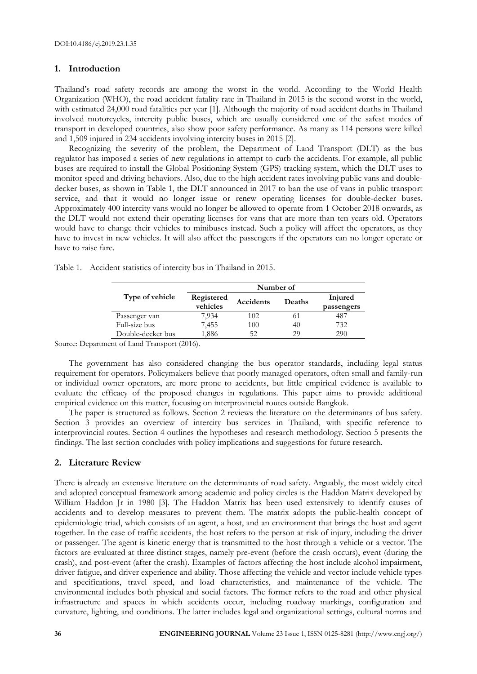## **1. Introduction**

Thailand's road safety records are among the worst in the world. According to the World Health Organization (WHO), the road accident fatality rate in Thailand in 2015 is the second worst in the world, with estimated 24,000 road fatalities per year [1]. Although the majority of road accident deaths in Thailand involved motorcycles, intercity public buses, which are usually considered one of the safest modes of transport in developed countries, also show poor safety performance. As many as 114 persons were killed and 1,509 injured in 234 accidents involving intercity buses in 2015 [2].

Recognizing the severity of the problem, the Department of Land Transport (DLT) as the bus regulator has imposed a series of new regulations in attempt to curb the accidents. For example, all public buses are required to install the Global Positioning System (GPS) tracking system, which the DLT uses to monitor speed and driving behaviors. Also, due to the high accident rates involving public vans and doubledecker buses, as shown in Table 1, the DLT announced in 2017 to ban the use of vans in public transport service, and that it would no longer issue or renew operating licenses for double-decker buses. Approximately 400 intercity vans would no longer be allowed to operate from 1 October 2018 onwards, as the DLT would not extend their operating licenses for vans that are more than ten years old. Operators would have to change their vehicles to minibuses instead. Such a policy will affect the operators, as they have to invest in new vehicles. It will also affect the passengers if the operators can no longer operate or have to raise fare.

|  | Table 1. Accident statistics of intercity bus in Thailand in 2015. |  |  |  |  |  |  |  |  |  |  |
|--|--------------------------------------------------------------------|--|--|--|--|--|--|--|--|--|--|
|--|--------------------------------------------------------------------|--|--|--|--|--|--|--|--|--|--|

|                   | Number of              |           |        |                       |  |  |  |
|-------------------|------------------------|-----------|--------|-----------------------|--|--|--|
| Type of vehicle   | Registered<br>vehicles | Accidents | Deaths | Injured<br>passengers |  |  |  |
| Passenger van     | 7,934                  | 102       | 61     | 487                   |  |  |  |
| Full-size bus     | 7,455                  | 100       | 40     | 732                   |  |  |  |
| Double-decker bus | 1,886                  | 52        | 29     | 290                   |  |  |  |

Source: Department of Land Transport (2016).

The government has also considered changing the bus operator standards, including legal status requirement for operators. Policymakers believe that poorly managed operators, often small and family-run or individual owner operators, are more prone to accidents, but little empirical evidence is available to evaluate the efficacy of the proposed changes in regulations. This paper aims to provide additional empirical evidence on this matter, focusing on interprovincial routes outside Bangkok.

The paper is structured as follows. Section 2 reviews the literature on the determinants of bus safety. Section 3 provides an overview of intercity bus services in Thailand, with specific reference to interprovincial routes. Section 4 outlines the hypotheses and research methodology. Section 5 presents the findings. The last section concludes with policy implications and suggestions for future research.

# **2. Literature Review**

There is already an extensive literature on the determinants of road safety. Arguably, the most widely cited and adopted conceptual framework among academic and policy circles is the Haddon Matrix developed by William Haddon Jr in 1980 [3]. The Haddon Matrix has been used extensively to identify causes of accidents and to develop measures to prevent them. The matrix adopts the public-health concept of epidemiologic triad, which consists of an agent, a host, and an environment that brings the host and agent together. In the case of traffic accidents, the host refers to the person at risk of injury, including the driver or passenger. The agent is kinetic energy that is transmitted to the host through a vehicle or a vector. The factors are evaluated at three distinct stages, namely pre-event (before the crash occurs), event (during the crash), and post-event (after the crash). Examples of factors affecting the host include alcohol impairment, driver fatigue, and driver experience and ability. Those affecting the vehicle and vector include vehicle types and specifications, travel speed, and load characteristics, and maintenance of the vehicle. The environmental includes both physical and social factors. The former refers to the road and other physical infrastructure and spaces in which accidents occur, including roadway markings, configuration and curvature, lighting, and conditions. The latter includes legal and organizational settings, cultural norms and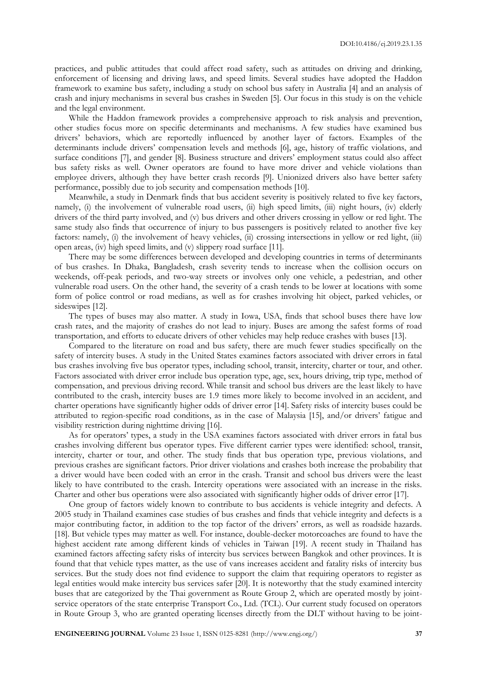practices, and public attitudes that could affect road safety, such as attitudes on driving and drinking, enforcement of licensing and driving laws, and speed limits. Several studies have adopted the Haddon framework to examine bus safety, including a study on school bus safety in Australia [4] and an analysis of crash and injury mechanisms in several bus crashes in Sweden [5]. Our focus in this study is on the vehicle and the legal environment.

While the Haddon framework provides a comprehensive approach to risk analysis and prevention, other studies focus more on specific determinants and mechanisms. A few studies have examined bus drivers' behaviors, which are reportedly influenced by another layer of factors. Examples of the determinants include drivers' compensation levels and methods [6], age, history of traffic violations, and surface conditions [7], and gender [8]. Business structure and drivers' employment status could also affect bus safety risks as well. Owner operators are found to have more driver and vehicle violations than employee drivers, although they have better crash records [9]. Unionized drivers also have better safety performance, possibly due to job security and compensation methods [10].

Meanwhile, a study in Denmark finds that bus accident severity is positively related to five key factors, namely, (i) the involvement of vulnerable road users, (ii) high speed limits, (iii) night hours, (iv) elderly drivers of the third party involved, and (v) bus drivers and other drivers crossing in yellow or red light. The same study also finds that occurrence of injury to bus passengers is positively related to another five key factors: namely, (i) the involvement of heavy vehicles, (ii) crossing intersections in yellow or red light, (iii) open areas, (iv) high speed limits, and (v) slippery road surface [11].

There may be some differences between developed and developing countries in terms of determinants of bus crashes. In Dhaka, Bangladesh, crash severity tends to increase when the collision occurs on weekends, off-peak periods, and two-way streets or involves only one vehicle, a pedestrian, and other vulnerable road users. On the other hand, the severity of a crash tends to be lower at locations with some form of police control or road medians, as well as for crashes involving hit object, parked vehicles, or sideswipes [12].

The types of buses may also matter. A study in Iowa, USA, finds that school buses there have low crash rates, and the majority of crashes do not lead to injury. Buses are among the safest forms of road transportation, and efforts to educate drivers of other vehicles may help reduce crashes with buses [13].

Compared to the literature on road and bus safety, there are much fewer studies specifically on the safety of intercity buses. A study in the United States examines factors associated with driver errors in fatal bus crashes involving five bus operator types, including school, transit, intercity, charter or tour, and other. Factors associated with driver error include bus operation type, age, sex, hours driving, trip type, method of compensation, and previous driving record. While transit and school bus drivers are the least likely to have contributed to the crash, intercity buses are 1.9 times more likely to become involved in an accident, and charter operations have significantly higher odds of driver error [14]. Safety risks of intercity buses could be attributed to region-specific road conditions, as in the case of Malaysia [15], and/or drivers' fatigue and visibility restriction during nighttime driving [16].

As for operators' types, a study in the USA examines factors associated with driver errors in fatal bus crashes involving different bus operator types. Five different carrier types were identified: school, transit, intercity, charter or tour, and other. The study finds that bus operation type, previous violations, and previous crashes are significant factors. Prior driver violations and crashes both increase the probability that a driver would have been coded with an error in the crash. Transit and school bus drivers were the least likely to have contributed to the crash. Intercity operations were associated with an increase in the risks. Charter and other bus operations were also associated with significantly higher odds of driver error [17].

One group of factors widely known to contribute to bus accidents is vehicle integrity and defects. A 2005 study in Thailand examines case studies of bus crashes and finds that vehicle integrity and defects is a major contributing factor, in addition to the top factor of the drivers' errors, as well as roadside hazards. [18]. But vehicle types may matter as well. For instance, double-decker motorcoaches are found to have the highest accident rate among different kinds of vehicles in Taiwan [19]. A recent study in Thailand has examined factors affecting safety risks of intercity bus services between Bangkok and other provinces. It is found that that vehicle types matter, as the use of vans increases accident and fatality risks of intercity bus services. But the study does not find evidence to support the claim that requiring operators to register as legal entities would make intercity bus services safer [20]. It is noteworthy that the study examined intercity buses that are categorized by the Thai government as Route Group 2, which are operated mostly by jointservice operators of the state enterprise Transport Co., Ltd. (TCL). Our current study focused on operators in Route Group 3, who are granted operating licenses directly from the DLT without having to be joint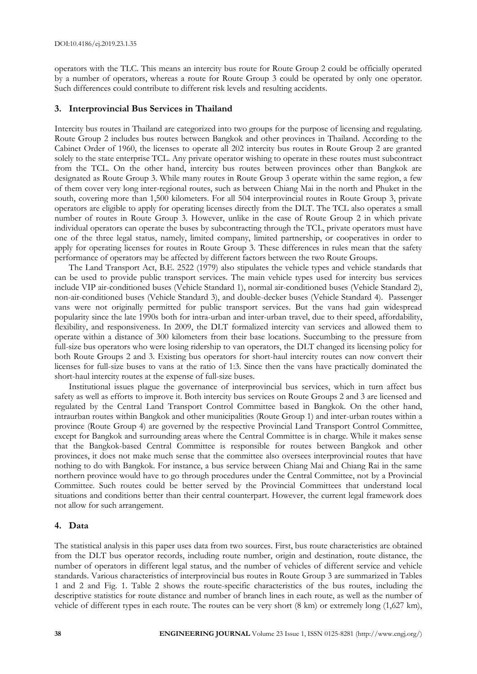operators with the TLC. This means an intercity bus route for Route Group 2 could be officially operated by a number of operators, whereas a route for Route Group 3 could be operated by only one operator. Such differences could contribute to different risk levels and resulting accidents.

#### **3. Interprovincial Bus Services in Thailand**

Intercity bus routes in Thailand are categorized into two groups for the purpose of licensing and regulating. Route Group 2 includes bus routes between Bangkok and other provinces in Thailand. According to the Cabinet Order of 1960, the licenses to operate all 202 intercity bus routes in Route Group 2 are granted solely to the state enterprise TCL. Any private operator wishing to operate in these routes must subcontract from the TCL. On the other hand, intercity bus routes between provinces other than Bangkok are designated as Route Group 3. While many routes in Route Group 3 operate within the same region, a few of them cover very long inter-regional routes, such as between Chiang Mai in the north and Phuket in the south, covering more than 1,500 kilometers. For all 504 interprovincial routes in Route Group 3, private operators are eligible to apply for operating licenses directly from the DLT. The TCL also operates a small number of routes in Route Group 3. However, unlike in the case of Route Group 2 in which private individual operators can operate the buses by subcontracting through the TCL, private operators must have one of the three legal status, namely, limited company, limited partnership, or cooperatives in order to apply for operating licenses for routes in Route Group 3. These differences in rules mean that the safety performance of operators may be affected by different factors between the two Route Groups.

The Land Transport Act, B.E. 2522 (1979) also stipulates the vehicle types and vehicle standards that can be used to provide public transport services. The main vehicle types used for intercity bus services include VIP air-conditioned buses (Vehicle Standard 1), normal air-conditioned buses (Vehicle Standard 2), non-air-conditioned buses (Vehicle Standard 3), and double-decker buses (Vehicle Standard 4). Passenger vans were not originally permitted for public transport services. But the vans had gain widespread popularity since the late 1990s both for intra-urban and inter-urban travel, due to their speed, affordability, flexibility, and responsiveness. In 2009, the DLT formalized intercity van services and allowed them to operate within a distance of 300 kilometers from their base locations. Succumbing to the pressure from full-size bus operators who were losing ridership to van operators, the DLT changed its licensing policy for both Route Groups 2 and 3. Existing bus operators for short-haul intercity routes can now convert their licenses for full-size buses to vans at the ratio of 1:3. Since then the vans have practically dominated the short-haul intercity routes at the expense of full-size buses.

Institutional issues plague the governance of interprovincial bus services, which in turn affect bus safety as well as efforts to improve it. Both intercity bus services on Route Groups 2 and 3 are licensed and regulated by the Central Land Transport Control Committee based in Bangkok. On the other hand, intraurban routes within Bangkok and other municipalities (Route Group 1) and inter-urban routes within a province (Route Group 4) are governed by the respective Provincial Land Transport Control Committee, except for Bangkok and surrounding areas where the Central Committee is in charge. While it makes sense that the Bangkok-based Central Committee is responsible for routes between Bangkok and other provinces, it does not make much sense that the committee also oversees interprovincial routes that have nothing to do with Bangkok. For instance, a bus service between Chiang Mai and Chiang Rai in the same northern province would have to go through procedures under the Central Committee, not by a Provincial Committee. Such routes could be better served by the Provincial Committees that understand local situations and conditions better than their central counterpart. However, the current legal framework does not allow for such arrangement.

#### **4. Data**

The statistical analysis in this paper uses data from two sources. First, bus route characteristics are obtained from the DLT bus operator records, including route number, origin and destination, route distance, the number of operators in different legal status, and the number of vehicles of different service and vehicle standards. Various characteristics of interprovincial bus routes in Route Group 3 are summarized in Tables 1 and 2 and Fig. 1. Table 2 shows the route-specific characteristics of the bus routes, including the descriptive statistics for route distance and number of branch lines in each route, as well as the number of vehicle of different types in each route. The routes can be very short (8 km) or extremely long (1,627 km),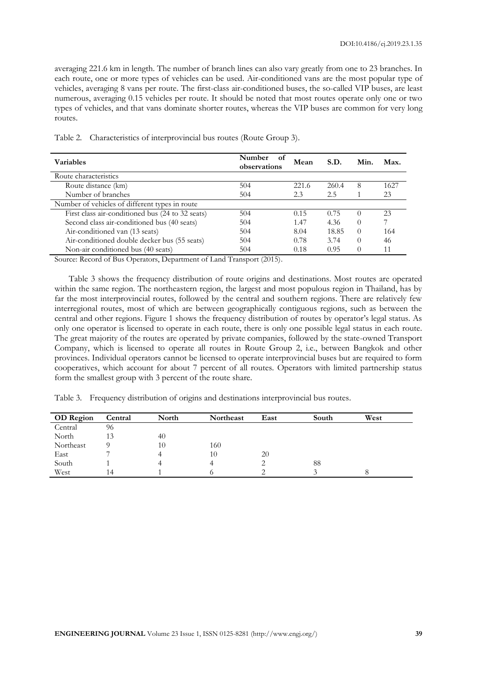averaging 221.6 km in length. The number of branch lines can also vary greatly from one to 23 branches. In each route, one or more types of vehicles can be used. Air-conditioned vans are the most popular type of vehicles, averaging 8 vans per route. The first-class air-conditioned buses, the so-called VIP buses, are least numerous, averaging 0.15 vehicles per route. It should be noted that most routes operate only one or two types of vehicles, and that vans dominate shorter routes, whereas the VIP buses are common for very long routes.

| <b>Variables</b>                                 | Number<br>of<br>observations | Mean  | S.D.  | Min.             | Max. |
|--------------------------------------------------|------------------------------|-------|-------|------------------|------|
| Route characteristics                            |                              |       |       |                  |      |
| Route distance (km)                              | 504                          | 221.6 | 260.4 | 8                | 1627 |
| Number of branches                               | 504                          | 2.3   | 2.5   |                  | 23   |
| Number of vehicles of different types in route   |                              |       |       |                  |      |
| First class air-conditioned bus (24 to 32 seats) | 504                          | 0.15  | 0.75  | $\left( \right)$ | 23   |
| Second class air-conditioned bus (40 seats)      | 504                          | 1.47  | 4.36  | $\left( \right)$ |      |
| Air-conditioned van (13 seats)                   | 504                          | 8.04  | 18.85 | $\left( \right)$ | 164  |
| Air-conditioned double decker bus (55 seats)     | 504                          | 0.78  | 3.74  | $\Omega$         | 46   |
| Non-air conditioned bus (40 seats)               | 504                          | 0.18  | 0.95  |                  | 11   |

Table 2. Characteristics of interprovincial bus routes (Route Group 3).

Source: Record of Bus Operators, Department of Land Transport (2015).

Table 3 shows the frequency distribution of route origins and destinations. Most routes are operated within the same region. The northeastern region, the largest and most populous region in Thailand, has by far the most interprovincial routes, followed by the central and southern regions. There are relatively few interregional routes, most of which are between geographically contiguous regions, such as between the central and other regions. Figure 1 shows the frequency distribution of routes by operator's legal status. As only one operator is licensed to operate in each route, there is only one possible legal status in each route. The great majority of the routes are operated by private companies, followed by the state-owned Transport Company, which is licensed to operate all routes in Route Group 2, i.e., between Bangkok and other provinces. Individual operators cannot be licensed to operate interprovincial buses but are required to form cooperatives, which account for about 7 percent of all routes. Operators with limited partnership status form the smallest group with 3 percent of the route share.

Table 3. Frequency distribution of origins and destinations interprovincial bus routes.

| <b>OD</b> Region | Central | North | <b>Northeast</b> | East | South | West |  |
|------------------|---------|-------|------------------|------|-------|------|--|
| Central          | 96      |       |                  |      |       |      |  |
| North            | 13      | 40    |                  |      |       |      |  |
| Northeast        |         | 10    | 160              |      |       |      |  |
| East             |         | 4     | 10               | 20   |       |      |  |
| South            |         | 4     |                  | ∠    | 88    |      |  |
| West             | 14      |       |                  |      |       |      |  |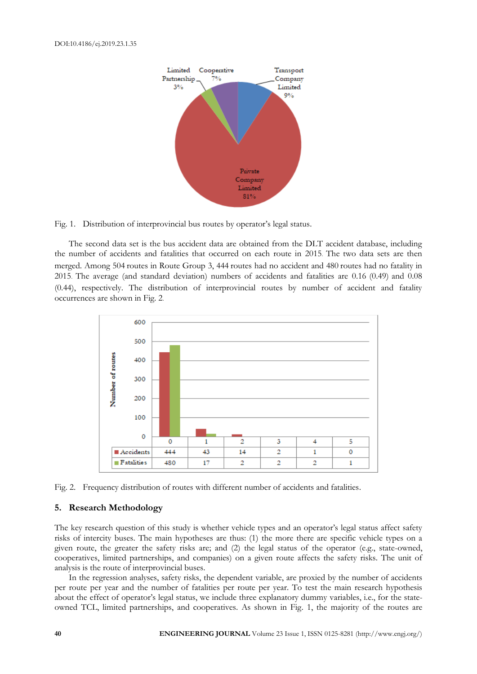

Fig. 1. Distribution of interprovincial bus routes by operator's legal status.

The second data set is the bus accident data are obtained from the DLT accident database, including the number of accidents and fatalities that occurred on each route in 2015. The two data sets are then merged. Among 504 routes in Route Group 3, 444 routes had no accident and 480 routes had no fatality in 2015. The average (and standard deviation) numbers of accidents and fatalities are 0.16 (0.49) and 0.08 (0.44), respectively. The distribution of interprovincial routes by number of accident and fatality occurrences are shown in Fig. 2.





#### **5. Research Methodology**

The key research question of this study is whether vehicle types and an operator's legal status affect safety risks of intercity buses. The main hypotheses are thus: (1) the more there are specific vehicle types on a given route, the greater the safety risks are; and (2) the legal status of the operator (e.g., state-owned, cooperatives, limited partnerships, and companies) on a given route affects the safety risks. The unit of analysis is the route of interprovincial buses.

In the regression analyses, safety risks, the dependent variable, are proxied by the number of accidents per route per year and the number of fatalities per route per year. To test the main research hypothesis about the effect of operator's legal status, we include three explanatory dummy variables, i.e., for the stateowned TCL, limited partnerships, and cooperatives. As shown in Fig. 1, the majority of the routes are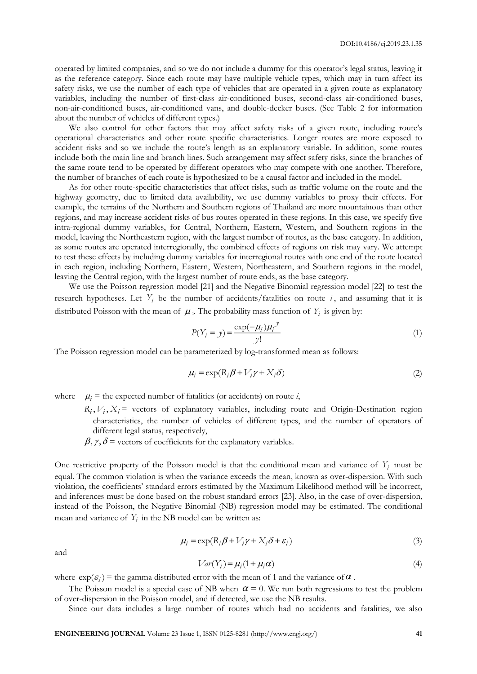operated by limited companies, and so we do not include a dummy for this operator's legal status, leaving it as the reference category. Since each route may have multiple vehicle types, which may in turn affect its safety risks, we use the number of each type of vehicles that are operated in a given route as explanatory variables, including the number of first-class air-conditioned buses, second-class air-conditioned buses, non-air-conditioned buses, air-conditioned vans, and double-decker buses. (See Table 2 for information about the number of vehicles of different types.)

We also control for other factors that may affect safety risks of a given route, including route's operational characteristics and other route specific characteristics. Longer routes are more exposed to accident risks and so we include the route's length as an explanatory variable. In addition, some routes include both the main line and branch lines. Such arrangement may affect safety risks, since the branches of the same route tend to be operated by different operators who may compete with one another. Therefore, the number of branches of each route is hypothesized to be a causal factor and included in the model.

As for other route-specific characteristics that affect risks, such as traffic volume on the route and the highway geometry, due to limited data availability, we use dummy variables to proxy their effects. For example, the terrains of the Northern and Southern regions of Thailand are more mountainous than other regions, and may increase accident risks of bus routes operated in these regions. In this case, we specify five intra-regional dummy variables, for Central, Northern, Eastern, Western, and Southern regions in the model, leaving the Northeastern region, with the largest number of routes, as the base category. In addition, as some routes are operated interregionally, the combined effects of regions on risk may vary. We attempt to test these effects by including dummy variables for interregional routes with one end of the route located in each region, including Northern, Eastern, Western, Northeastern, and Southern regions in the model, leaving the Central region, with the largest number of route ends, as the base category.

We use the Poisson regression model [21] and the Negative Binomial regression model [22] to test the research hypotheses. Let  $Y_i$  be the number of accidents/fatalities on route i, and assuming that it is distributed Poisson with the mean of  $\mu$ . The probability mass function of  $Y_i$  is given by:

$$
P(Y_i = y) = \frac{\exp(-\mu_i)\mu_i^y}{y!}
$$
\n<sup>(1)</sup>

The Poisson regression model can be parameterized by log-transformed mean as follows:

$$
\mu_i = \exp(R_i \beta + V_i \gamma + X_i \delta) \tag{2}
$$

where  $\mu_i$  = the expected number of fatalities (or accidents) on route *i*,

- $R_i, V_i, X_i$  = vectors of explanatory variables, including route and Origin-Destination region characteristics, the number of vehicles of different types, and the number of operators of different legal status, respectively,
- $\beta$ ,  $\gamma$ ,  $\delta$  = vectors of coefficients for the explanatory variables.

One restrictive property of the Poisson model is that the conditional mean and variance of  $Y_i$  must be equal. The common violation is when the variance exceeds the mean, known as over-dispersion. With such violation, the coefficients' standard errors estimated by the Maximum Likelihood method will be incorrect, and inferences must be done based on the robust standard errors [23]. Also, in the case of over-dispersion, instead of the Poisson, the Negative Binomial (NB) regression model may be estimated. The conditional mean and variance of  $Y_i$  in the NB model can be written as:

$$
\mu_i = \exp(R_i \beta + V_i \gamma + X_i \delta + \varepsilon_i)
$$
\n(3)

and

$$
Var(Y_i) = \mu_i (1 + \mu_i \alpha) \tag{4}
$$

where  $\exp(\varepsilon_i)$  = the gamma distributed error with the mean of 1 and the variance of  $\alpha$ .

The Poisson model is a special case of NB when  $\alpha = 0$ . We run both regressions to test the problem of over-dispersion in the Poisson model, and if detected, we use the NB results.

Since our data includes a large number of routes which had no accidents and fatalities, we also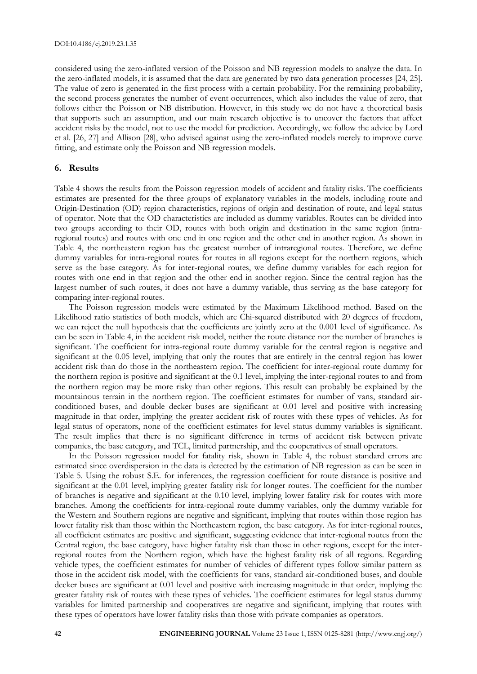considered using the zero-inflated version of the Poisson and NB regression models to analyze the data. In the zero-inflated models, it is assumed that the data are generated by two data generation processes [24, 25]. The value of zero is generated in the first process with a certain probability. For the remaining probability, the second process generates the number of event occurrences, which also includes the value of zero, that follows either the Poisson or NB distribution. However, in this study we do not have a theoretical basis that supports such an assumption, and our main research objective is to uncover the factors that affect accident risks by the model, not to use the model for prediction. Accordingly, we follow the advice by Lord et al. [26, 27] and Allison [28], who advised against using the zero-inflated models merely to improve curve fitting, and estimate only the Poisson and NB regression models.

#### **6. Results**

Table 4 shows the results from the Poisson regression models of accident and fatality risks. The coefficients estimates are presented for the three groups of explanatory variables in the models, including route and Origin-Destination (OD) region characteristics, regions of origin and destination of route, and legal status of operator. Note that the OD characteristics are included as dummy variables. Routes can be divided into two groups according to their OD, routes with both origin and destination in the same region (intraregional routes) and routes with one end in one region and the other end in another region. As shown in Table 4, the northeastern region has the greatest number of intraregional routes. Therefore, we define dummy variables for intra-regional routes for routes in all regions except for the northern regions, which serve as the base category. As for inter-regional routes, we define dummy variables for each region for routes with one end in that region and the other end in another region. Since the central region has the largest number of such routes, it does not have a dummy variable, thus serving as the base category for comparing inter-regional routes.

The Poisson regression models were estimated by the Maximum Likelihood method. Based on the Likelihood ratio statistics of both models, which are Chi-squared distributed with 20 degrees of freedom, we can reject the null hypothesis that the coefficients are jointly zero at the 0.001 level of significance. As can be seen in Table 4, in the accident risk model, neither the route distance nor the number of branches is significant. The coefficient for intra-regional route dummy variable for the central region is negative and significant at the 0.05 level, implying that only the routes that are entirely in the central region has lower accident risk than do those in the northeastern region. The coefficient for inter-regional route dummy for the northern region is positive and significant at the 0.1 level, implying the inter-regional routes to and from the northern region may be more risky than other regions. This result can probably be explained by the mountainous terrain in the northern region. The coefficient estimates for number of vans, standard airconditioned buses, and double decker buses are significant at 0.01 level and positive with increasing magnitude in that order, implying the greater accident risk of routes with these types of vehicles. As for legal status of operators, none of the coefficient estimates for level status dummy variables is significant. The result implies that there is no significant difference in terms of accident risk between private companies, the base category, and TCL, limited partnership, and the cooperatives of small operators.

In the Poisson regression model for fatality risk, shown in Table 4, the robust standard errors are estimated since overdispersion in the data is detected by the estimation of NB regression as can be seen in Table 5. Using the robust S.E. for inferences, the regression coefficient for route distance is positive and significant at the 0.01 level, implying greater fatality risk for longer routes. The coefficient for the number of branches is negative and significant at the 0.10 level, implying lower fatality risk for routes with more branches. Among the coefficients for intra-regional route dummy variables, only the dummy variable for the Western and Southern regions are negative and significant, implying that routes within those region has lower fatality risk than those within the Northeastern region, the base category. As for inter-regional routes, all coefficient estimates are positive and significant, suggesting evidence that inter-regional routes from the Central region, the base category, have higher fatality risk than those in other regions, except for the interregional routes from the Northern region, which have the highest fatality risk of all regions. Regarding vehicle types, the coefficient estimates for number of vehicles of different types follow similar pattern as those in the accident risk model, with the coefficients for vans, standard air-conditioned buses, and double decker buses are significant at 0.01 level and positive with increasing magnitude in that order, implying the greater fatality risk of routes with these types of vehicles. The coefficient estimates for legal status dummy variables for limited partnership and cooperatives are negative and significant, implying that routes with these types of operators have lower fatality risks than those with private companies as operators.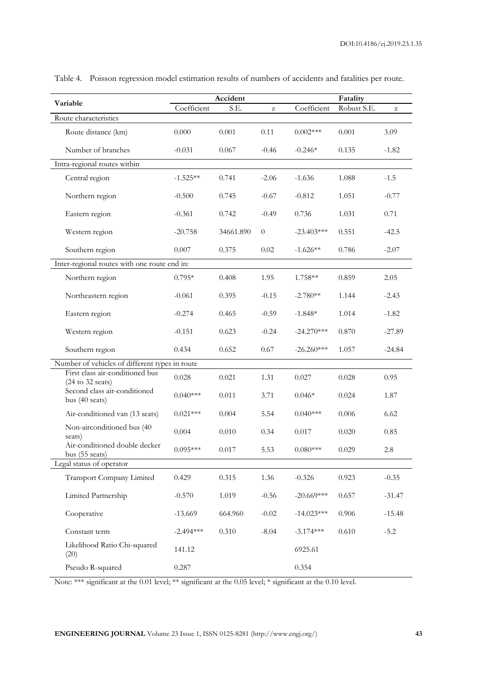| Variable                                                               | Accident    |           |          | Fatality     |             |          |  |
|------------------------------------------------------------------------|-------------|-----------|----------|--------------|-------------|----------|--|
|                                                                        | Coefficient | S.E.      | z        | Coefficient  | Robust S.E. | z        |  |
| Route characteristics                                                  |             |           |          |              |             |          |  |
| Route distance (km)                                                    | 0.000       | 0.001     | 0.11     | $0.002***$   | 0.001       | 3.09     |  |
| Number of branches                                                     | $-0.031$    | 0.067     | $-0.46$  | $-0.246*$    | 0.135       | $-1.82$  |  |
| Intra-regional routes within                                           |             |           |          |              |             |          |  |
| Central region                                                         | $-1.525**$  | 0.741     | $-2.06$  | $-1.636$     | 1.088       | $-1.5$   |  |
| Northern region                                                        | $-0.500$    | 0.745     | $-0.67$  | $-0.812$     | 1.051       | $-0.77$  |  |
| Eastern region                                                         | $-0.361$    | 0.742     | $-0.49$  | 0.736        | 1.031       | 0.71     |  |
| Western region                                                         | $-20.758$   | 34661.890 | $\theta$ | $-23.403***$ | 0.551       | $-42.5$  |  |
| Southern region                                                        | 0.007       | 0.375     | 0.02     | $-1.626**$   | 0.786       | $-2.07$  |  |
| Inter-regional routes with one route end in:                           |             |           |          |              |             |          |  |
| Northern region                                                        | $0.795*$    | 0.408     | 1.95     | 1.758**      | 0.859       | 2.05     |  |
| Northeastern region                                                    | $-0.061$    | 0.395     | $-0.15$  | $-2.780**$   | 1.144       | $-2.43$  |  |
| Eastern region                                                         | $-0.274$    | 0.465     | $-0.59$  | $-1.848*$    | 1.014       | $-1.82$  |  |
| Western region                                                         | $-0.151$    | 0.623     | $-0.24$  | $-24.270***$ | 0.870       | $-27.89$ |  |
| Southern region                                                        | 0.434       | 0.652     | 0.67     | $-26.260***$ | 1.057       | $-24.84$ |  |
| Number of vehicles of different types in route                         |             |           |          |              |             |          |  |
| First class air-conditioned bus<br>$(24 \text{ to } 32 \text{ seats})$ | 0.028       | 0.021     | 1.31     | 0.027        | 0.028       | 0.95     |  |
| Second class air-conditioned<br>bus (40 seats)                         | $0.040***$  | 0.011     | 3.71     | $0.046*$     | 0.024       | 1.87     |  |
| Air-conditioned van (13 seats)                                         | $0.021***$  | 0.004     | 5.54     | $0.040***$   | 0.006       | 6.62     |  |
| Non-airconditioned bus (40<br>seats)                                   | 0.004       | 0.010     | 0.34     | 0.017        | 0.020       | 0.85     |  |
| Air-conditioned double decker<br>bus (55 seats)                        | $0.095***$  | $0.017\,$ | 5.53     | $0.080***$   | 0.029       | 2.8      |  |
| Legal status of operator                                               |             |           |          |              |             |          |  |
| Transport Company Limited                                              | 0.429       | 0.315     | 1.36     | $-0.326$     | 0.923       | $-0.35$  |  |
| Limited Partnership                                                    | $-0.570$    | 1.019     | $-0.56$  | $-20.669***$ | 0.657       | $-31.47$ |  |
| Cooperative                                                            | $-13.669$   | 664.960   | $-0.02$  | $-14.023***$ | 0.906       | $-15.48$ |  |
| Constant term                                                          | $-2.494***$ | 0.310     | $-8.04$  | $-3.174***$  | 0.610       | $-5.2$   |  |
| Likelihood Ratio Chi-squared<br>(20)                                   | 141.12      |           |          | 6925.61      |             |          |  |
| Pseudo R-squared                                                       | 0.287       |           |          | 0.354        |             |          |  |

Table 4. Poisson regression model estimation results of numbers of accidents and fatalities per route.

Note: \*\*\* significant at the 0.01 level; \*\* significant at the 0.05 level; \* significant at the 0.10 level.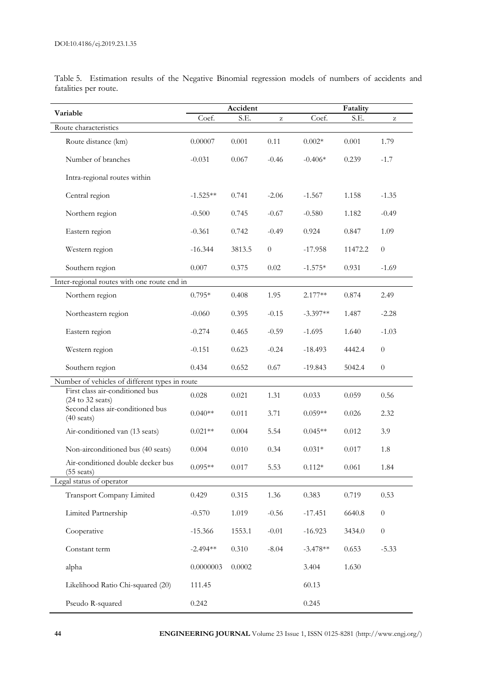|                                                                        | Accident   |        |                  | Fatality   |         |                  |  |
|------------------------------------------------------------------------|------------|--------|------------------|------------|---------|------------------|--|
| Variable                                                               | Coef.      | S.E.   | z                | Coef.      | S.E.    | z                |  |
| Route characteristics                                                  |            |        |                  |            |         |                  |  |
| Route distance (km)                                                    | 0.00007    | 0.001  | 0.11             | $0.002*$   | 0.001   | 1.79             |  |
| Number of branches                                                     | $-0.031$   | 0.067  | $-0.46$          | $-0.406*$  | 0.239   | $-1.7$           |  |
| Intra-regional routes within                                           |            |        |                  |            |         |                  |  |
| Central region                                                         | $-1.525**$ | 0.741  | $-2.06$          | $-1.567$   | 1.158   | $-1.35$          |  |
| Northern region                                                        | $-0.500$   | 0.745  | $-0.67$          | $-0.580$   | 1.182   | $-0.49$          |  |
| Eastern region                                                         | $-0.361$   | 0.742  | $-0.49$          | 0.924      | 0.847   | 1.09             |  |
| Western region                                                         | $-16.344$  | 3813.5 | $\boldsymbol{0}$ | $-17.958$  | 11472.2 | $\boldsymbol{0}$ |  |
| Southern region                                                        | 0.007      | 0.375  | 0.02             | $-1.575*$  | 0.931   | $-1.69$          |  |
| Inter-regional routes with one route end in                            |            |        |                  |            |         |                  |  |
| Northern region                                                        | $0.795*$   | 0.408  | 1.95             | $2.177**$  | 0.874   | 2.49             |  |
| Northeastern region                                                    | $-0.060$   | 0.395  | $-0.15$          | $-3.397**$ | 1.487   | $-2.28$          |  |
| Eastern region                                                         | $-0.274$   | 0.465  | $-0.59$          | $-1.695$   | 1.640   | $-1.03$          |  |
| Western region                                                         | $-0.151$   | 0.623  | $-0.24$          | $-18.493$  | 4442.4  | $\theta$         |  |
| Southern region                                                        | 0.434      | 0.652  | 0.67             | $-19.843$  | 5042.4  | $\boldsymbol{0}$ |  |
| Number of vehicles of different types in route                         |            |        |                  |            |         |                  |  |
| First class air-conditioned bus<br>$(24 \text{ to } 32 \text{ seats})$ | 0.028      | 0.021  | 1.31             | 0.033      | 0.059   | 0.56             |  |
| Second class air-conditioned bus<br>$(40 \text{ seats})$               | $0.040**$  | 0.011  | 3.71             | $0.059**$  | 0.026   | 2.32             |  |
| Air-conditioned van (13 seats)                                         | $0.021**$  | 0.004  | 5.54             | $0.045**$  | 0.012   | 3.9              |  |
| Non-airconditioned bus (40 seats)                                      | 0.004      | 0.010  | 0.34             | $0.031*$   | 0.017   | 1.8              |  |
| Air-conditioned double decker bus<br>$(55 \text{ seats})$              | $0.095**$  | 0.017  | 5.53             | $0.112*$   | 0.061   | 1.84             |  |
| Legal status of operator                                               |            |        |                  |            |         |                  |  |
| Transport Company Limited                                              | 0.429      | 0.315  | 1.36             | 0.383      | 0.719   | 0.53             |  |
| Limited Partnership                                                    | $-0.570$   | 1.019  | $-0.56$          | $-17.451$  | 6640.8  | $\boldsymbol{0}$ |  |
| Cooperative                                                            | $-15.366$  | 1553.1 | $-0.01$          | $-16.923$  | 3434.0  | $\boldsymbol{0}$ |  |
| Constant term                                                          | $-2.494**$ | 0.310  | $-8.04$          | $-3.478**$ | 0.653   | $-5.33$          |  |
| alpha                                                                  | 0.0000003  | 0.0002 |                  | 3.404      | 1.630   |                  |  |
| Likelihood Ratio Chi-squared (20)                                      | 111.45     |        |                  | 60.13      |         |                  |  |
| Pseudo R-squared                                                       | 0.242      |        |                  | 0.245      |         |                  |  |

Table 5. Estimation results of the Negative Binomial regression models of numbers of accidents and fatalities per route.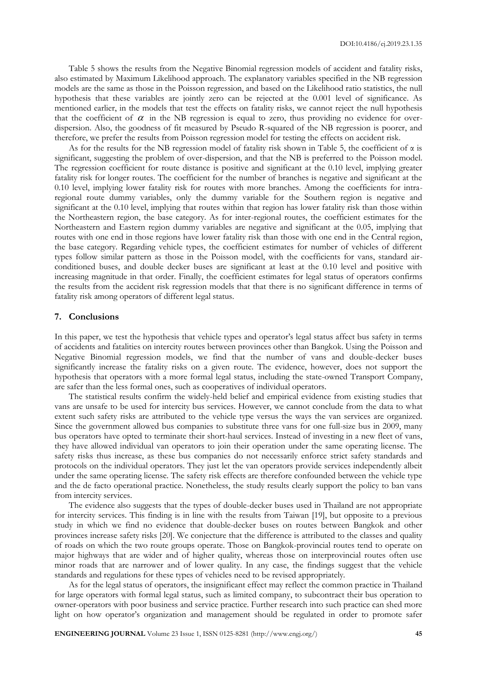Table 5 shows the results from the Negative Binomial regression models of accident and fatality risks, also estimated by Maximum Likelihood approach. The explanatory variables specified in the NB regression models are the same as those in the Poisson regression, and based on the Likelihood ratio statistics, the null hypothesis that these variables are jointly zero can be rejected at the 0.001 level of significance. As mentioned earlier, in the models that test the effects on fatality risks, we cannot reject the null hypothesis that the coefficient of  $\alpha$  in the NB regression is equal to zero, thus providing no evidence for overdispersion. Also, the goodness of fit measured by Pseudo R-squared of the NB regression is poorer, and therefore, we prefer the results from Poisson regression model for testing the effects on accident risk.

As for the results for the NB regression model of fatality risk shown in Table 5, the coefficient of  $\alpha$  is significant, suggesting the problem of over-dispersion, and that the NB is preferred to the Poisson model. The regression coefficient for route distance is positive and significant at the 0.10 level, implying greater fatality risk for longer routes. The coefficient for the number of branches is negative and significant at the 0.10 level, implying lower fatality risk for routes with more branches. Among the coefficients for intraregional route dummy variables, only the dummy variable for the Southern region is negative and significant at the 0.10 level, implying that routes within that region has lower fatality risk than those within the Northeastern region, the base category. As for inter-regional routes, the coefficient estimates for the Northeastern and Eastern region dummy variables are negative and significant at the 0.05, implying that routes with one end in those regions have lower fatality risk than those with one end in the Central region, the base category. Regarding vehicle types, the coefficient estimates for number of vehicles of different types follow similar pattern as those in the Poisson model, with the coefficients for vans, standard airconditioned buses, and double decker buses are significant at least at the 0.10 level and positive with increasing magnitude in that order. Finally, the coefficient estimates for legal status of operators confirms the results from the accident risk regression models that that there is no significant difference in terms of fatality risk among operators of different legal status.

#### **7. Conclusions**

In this paper, we test the hypothesis that vehicle types and operator's legal status affect bus safety in terms of accidents and fatalities on intercity routes between provinces other than Bangkok. Using the Poisson and Negative Binomial regression models, we find that the number of vans and double-decker buses significantly increase the fatality risks on a given route. The evidence, however, does not support the hypothesis that operators with a more formal legal status, including the state-owned Transport Company, are safer than the less formal ones, such as cooperatives of individual operators.

The statistical results confirm the widely-held belief and empirical evidence from existing studies that vans are unsafe to be used for intercity bus services. However, we cannot conclude from the data to what extent such safety risks are attributed to the vehicle type versus the ways the van services are organized. Since the government allowed bus companies to substitute three vans for one full-size bus in 2009, many bus operators have opted to terminate their short-haul services. Instead of investing in a new fleet of vans, they have allowed individual van operators to join their operation under the same operating license. The safety risks thus increase, as these bus companies do not necessarily enforce strict safety standards and protocols on the individual operators. They just let the van operators provide services independently albeit under the same operating license. The safety risk effects are therefore confounded between the vehicle type and the de facto operational practice. Nonetheless, the study results clearly support the policy to ban vans from intercity services.

The evidence also suggests that the types of double-decker buses used in Thailand are not appropriate for intercity services. This finding is in line with the results from Taiwan [19], but opposite to a previous study in which we find no evidence that double-decker buses on routes between Bangkok and other provinces increase safety risks [20]. We conjecture that the difference is attributed to the classes and quality of roads on which the two route groups operate. Those on Bangkok-provincial routes tend to operate on major highways that are wider and of higher quality, whereas those on interprovincial routes often use minor roads that are narrower and of lower quality. In any case, the findings suggest that the vehicle standards and regulations for these types of vehicles need to be revised appropriately.

As for the legal status of operators, the insignificant effect may reflect the common practice in Thailand for large operators with formal legal status, such as limited company, to subcontract their bus operation to owner-operators with poor business and service practice. Further research into such practice can shed more light on how operator's organization and management should be regulated in order to promote safer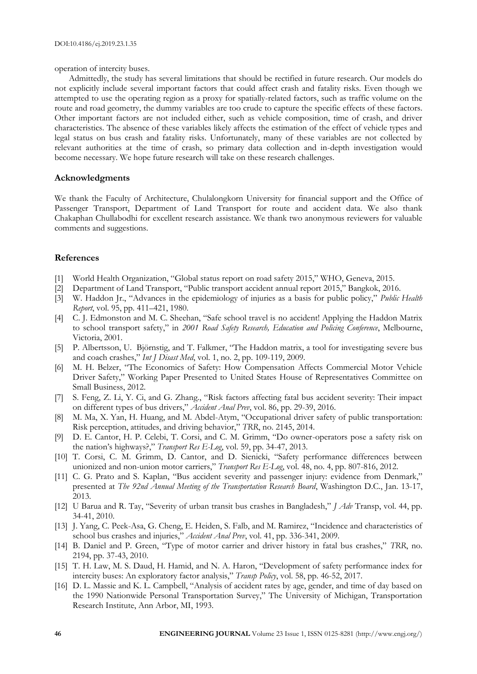operation of intercity buses.

Admittedly, the study has several limitations that should be rectified in future research. Our models do not explicitly include several important factors that could affect crash and fatality risks. Even though we attempted to use the operating region as a proxy for spatially-related factors, such as traffic volume on the route and road geometry, the dummy variables are too crude to capture the specific effects of these factors. Other important factors are not included either, such as vehicle composition, time of crash, and driver characteristics. The absence of these variables likely affects the estimation of the effect of vehicle types and legal status on bus crash and fatality risks. Unfortunately, many of these variables are not collected by relevant authorities at the time of crash, so primary data collection and in-depth investigation would become necessary. We hope future research will take on these research challenges.

## **Acknowledgments**

We thank the Faculty of Architecture, Chulalongkorn University for financial support and the Office of Passenger Transport, Department of Land Transport for route and accident data. We also thank Chakaphan Chullabodhi for excellent research assistance. We thank two anonymous reviewers for valuable comments and suggestions.

## **References**

- [1] World Health Organization, "Global status report on road safety 2015," WHO, Geneva, 2015.
- [2] Department of Land Transport, "Public transport accident annual report 2015," Bangkok, 2016.
- [3] W. Haddon Jr., "Advances in the epidemiology of injuries as a basis for public policy," *Public Health Report*, vol. 95, pp. 411–421, 1980.
- [4] C. J. Edmonston and M. C. Sheehan, "Safe school travel is no accident! Applying the Haddon Matrix to school transport safety," in *2001 Road Safety Research, Education and Policing Conference*, Melbourne, Victoria, 2001.
- [5] P. Albertsson, U. Björnstig, and T. Falkmer, "The Haddon matrix, a tool for investigating severe bus and coach crashes," *Int J Disast Med*, vol. 1, no. 2, pp. 109-119, 2009.
- [6] M. H. Belzer, "The Economics of Safety: How Compensation Affects Commercial Motor Vehicle Driver Safety," Working Paper Presented to United States House of Representatives Committee on Small Business, 2012.
- [7] S. Feng, Z. Li, Y. Ci, and G. Zhang., "Risk factors affecting fatal bus accident severity: Their impact on different types of bus drivers," *Accident Anal Prev*, vol. 86, pp. 29-39, 2016.
- [8] M. Ma, X. Yan, H. Huang, and M. Abdel-Atym, "Occupational driver safety of public transportation: Risk perception, attitudes, and driving behavior," *TRR*, no. 2145, 2014.
- [9] D. E. Cantor, H. P. Celebi, T. Corsi, and C. M. Grimm, "Do owner-operators pose a safety risk on the nation's highways?," *Transport Res E-Log*, vol. 59, pp. 34-47, 2013.
- [10] T. Corsi, C. M. Grimm, D. Cantor, and D. Sienicki, "Safety performance differences between unionized and non-union motor carriers," *Transport Res E-Log*, vol. 48, no. 4, pp. 807-816, 2012.
- [11] C. G. Prato and S. Kaplan, "Bus accident severity and passenger injury: evidence from Denmark," presented at *The 92nd Annual Meeting of the Transportation Research Board*, Washington D.C., Jan. 13-17, 2013.
- [12] U Barua and R. Tay, "Severity of urban transit bus crashes in Bangladesh," *J Adv* Transp, vol. 44, pp. 34-41, 2010.
- [13] J. Yang, C. Peek-Asa, G. Cheng, E. Heiden, S. Falb, and M. Ramirez, "Incidence and characteristics of school bus crashes and injuries," *Accident Anal Prev*, vol. 41, pp. 336-341, 2009.
- [14] B. Daniel and P. Green, "Type of motor carrier and driver history in fatal bus crashes," *TRR*, no. 2194, pp. 37-43, 2010.
- [15] T. H. Law, M. S. Daud, H. Hamid, and N. A. Haron, "Development of safety performance index for intercity buses: An exploratory factor analysis," *Transp Policy*, vol. 58, pp. 46-52, 2017.
- [16] D. L. Massie and K. L. Campbell, "Analysis of accident rates by age, gender, and time of day based on the 1990 Nationwide Personal Transportation Survey," The University of Michigan, Transportation Research Institute, Ann Arbor, MI, 1993.